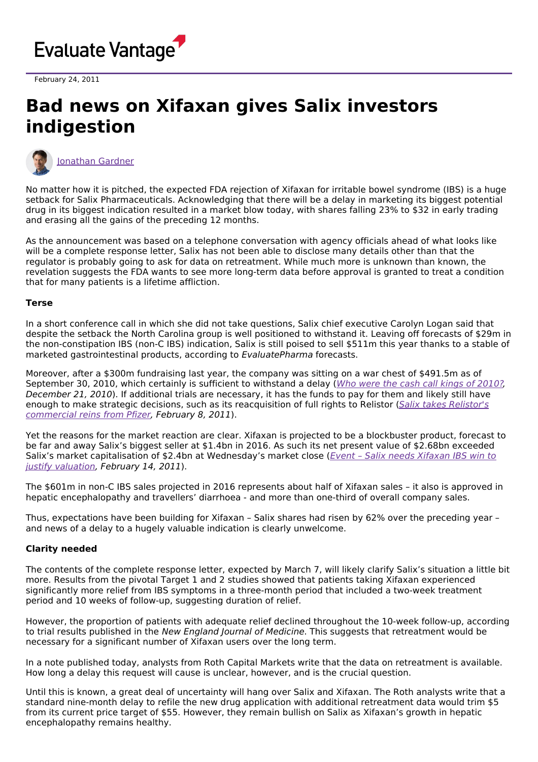

February 24, 2011

## **Bad news on Xifaxan gives Salix investors indigestion**



[Jonathan](https://www.evaluate.com/vantage/editorial-team/jonathan-gardner) Gardner

No matter how it is pitched, the expected FDA rejection of Xifaxan for irritable bowel syndrome (IBS) is a huge setback for Salix Pharmaceuticals. Acknowledging that there will be a delay in marketing its biggest potential drug in its biggest indication resulted in a market blow today, with shares falling 23% to \$32 in early trading and erasing all the gains of the preceding 12 months.

As the announcement was based on a telephone conversation with agency officials ahead of what looks like will be a complete response letter, Salix has not been able to disclose many details other than that the regulator is probably going to ask for data on retreatment. While much more is unknown than known, the revelation suggests the FDA wants to see more long-term data before approval is granted to treat a condition that for many patients is a lifetime affliction.

## **Terse**

In a short conference call in which she did not take questions, Salix chief executive Carolyn Logan said that despite the setback the North Carolina group is well positioned to withstand it. Leaving off forecasts of \$29m in the non-constipation IBS (non-C IBS) indication, Salix is still poised to sell \$511m this year thanks to a stable of marketed gastrointestinal products, according to EvaluatePharma forecasts.

Moreover, after a \$300m fundraising last year, the company was sitting on a war chest of \$491.5m as of September 30, 2010, which certainly is sufficient to withstand a delay (Who were the cash call kings of [2010?](http://www.epvantage.com/Universal/View.aspx?type=Story&id=233164&isEPVantage=yes), December 21, 2010). If additional trials are necessary, it has the funds to pay for them and likely still have enough to make strategic decisions, such as its [reacquisition](http://www.epvantage.com/Universal/View.aspx?type=Story&id=236807&isEPVantage=yes) of full rights to Relistor (Salix takes Relistor's commercial reins from Pfizer, February 8, 2011).

Yet the reasons for the market reaction are clear. Xifaxan is projected to be a blockbuster product, forecast to be far and away Salix's biggest seller at \$1.4bn in 2016. As such its net present value of \$2.68bn exceeded Salix's market capitalisation of \$2.4bn at [Wednesday's](http://www.epvantage.com/Universal/View.aspx?type=Story&id=237146&isEPVantage=yes) market close (*Event - Salix needs Xifaxan IBS win to* justify valuation, February 14, 2011).

The \$601m in non-C IBS sales projected in 2016 represents about half of Xifaxan sales – it also is approved in hepatic encephalopathy and travellers' diarrhoea - and more than one-third of overall company sales.

Thus, expectations have been building for Xifaxan – Salix shares had risen by 62% over the preceding year – and news of a delay to a hugely valuable indication is clearly unwelcome.

## **Clarity needed**

The contents of the complete response letter, expected by March 7, will likely clarify Salix's situation a little bit more. Results from the pivotal Target 1 and 2 studies showed that patients taking Xifaxan experienced significantly more relief from IBS symptoms in a three-month period that included a two-week treatment period and 10 weeks of follow-up, suggesting duration of relief.

However, the proportion of patients with adequate relief declined throughout the 10-week follow-up, according to trial results published in the New England Journal of Medicine. This suggests that retreatment would be necessary for a significant number of Xifaxan users over the long term.

In a note published today, analysts from Roth Capital Markets write that the data on retreatment is available. How long a delay this request will cause is unclear, however, and is the crucial question.

Until this is known, a great deal of uncertainty will hang over Salix and Xifaxan. The Roth analysts write that a standard nine-month delay to refile the new drug application with additional retreatment data would trim \$5 from its current price target of \$55. However, they remain bullish on Salix as Xifaxan's growth in hepatic encephalopathy remains healthy.